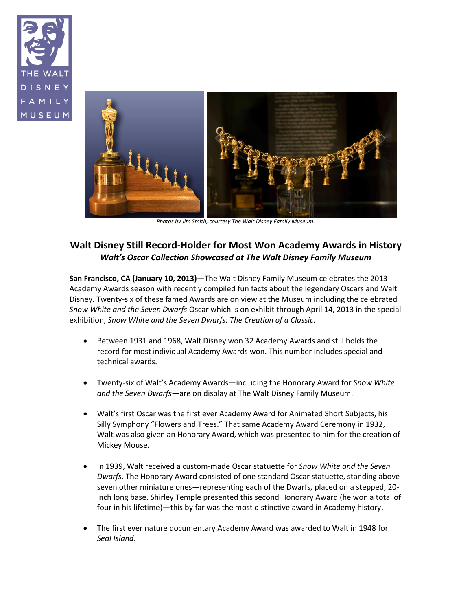



*Photos by Jim Smith, courtesy The Walt Disney Family Museum.*

## **Walt Disney Still Record-Holder for Most Won Academy Awards in History** *Walt's Oscar Collection Showcased at The Walt Disney Family Museum*

**San Francisco, CA (January 10, 2013)**—The Walt Disney Family Museum celebrates the 2013 Academy Awards season with recently compiled fun facts about the legendary Oscars and Walt Disney. Twenty-six of these famed Awards are on view at the Museum including the celebrated *Snow White and the Seven Dwarfs* Oscar which is on exhibit through April 14, 2013 in the special exhibition, *Snow White and the Seven Dwarfs: The Creation of a Classic*.

- Between 1931 and 1968, Walt Disney won 32 Academy Awards and still holds the record for most individual Academy Awards won. This number includes special and technical awards.
- Twenty-six of Walt's Academy Awards—including the Honorary Award for *Snow White and the Seven Dwarfs*—are on display at The Walt Disney Family Museum.
- Walt's first Oscar was the first ever Academy Award for Animated Short Subjects, his Silly Symphony "Flowers and Trees." That same Academy Award Ceremony in 1932, Walt was also given an Honorary Award, which was presented to him for the creation of Mickey Mouse.
- In 1939, Walt received a custom-made Oscar statuette for *Snow White and the Seven Dwarfs*. The Honorary Award consisted of one standard Oscar statuette, standing above seven other miniature ones—representing each of the Dwarfs, placed on a stepped, 20 inch long base. Shirley Temple presented this second Honorary Award (he won a total of four in his lifetime)—this by far was the most distinctive award in Academy history.
- The first ever nature documentary Academy Award was awarded to Walt in 1948 for *Seal Island*.